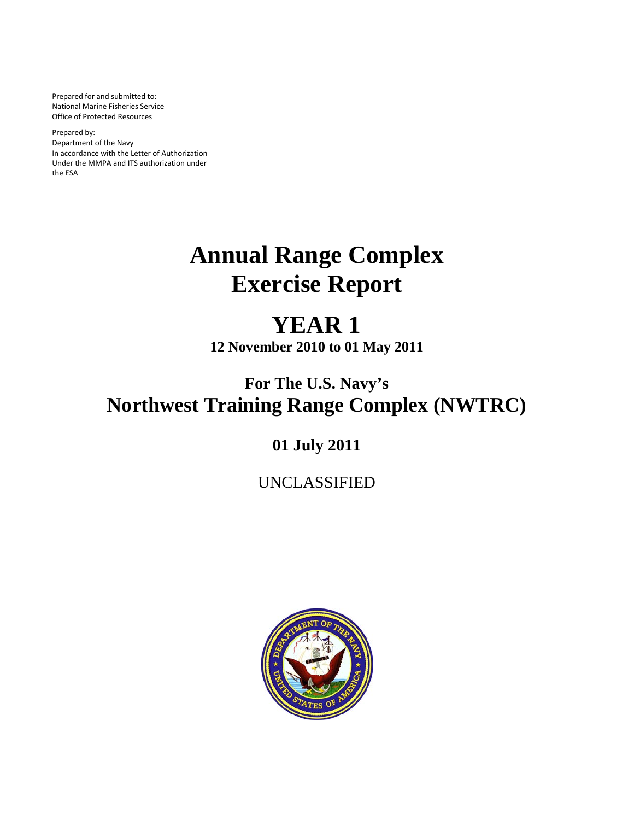Prepared for and submitted to: National Marine Fisheries Service Office of Protected Resources

Prepared by: Department of the Navy In accordance with the Letter of Authorization Under the MMPA and ITS authorization under the ESA

# **Annual Range Complex Exercise Report**

# **YEAR 1**

**12 November 2010 to 01 May 2011**

## **For The U.S. Navy's Northwest Training Range Complex (NWTRC)**

### **01 July 2011**

### UNCLASSIFIED

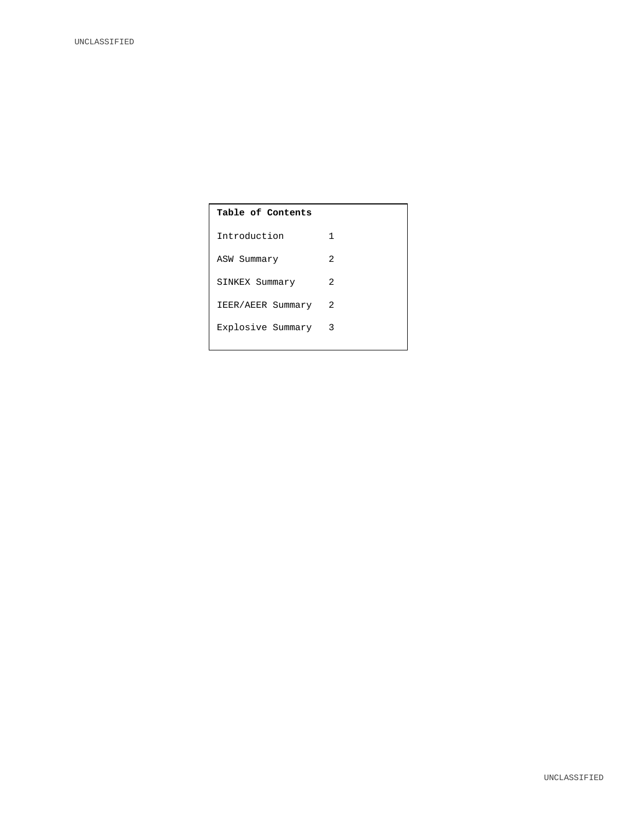## **Table of Contents** Introduction 1 ASW Summary 2 SINKEX Summary 2 IEER/AEER Summary 2 Explosive Summary 3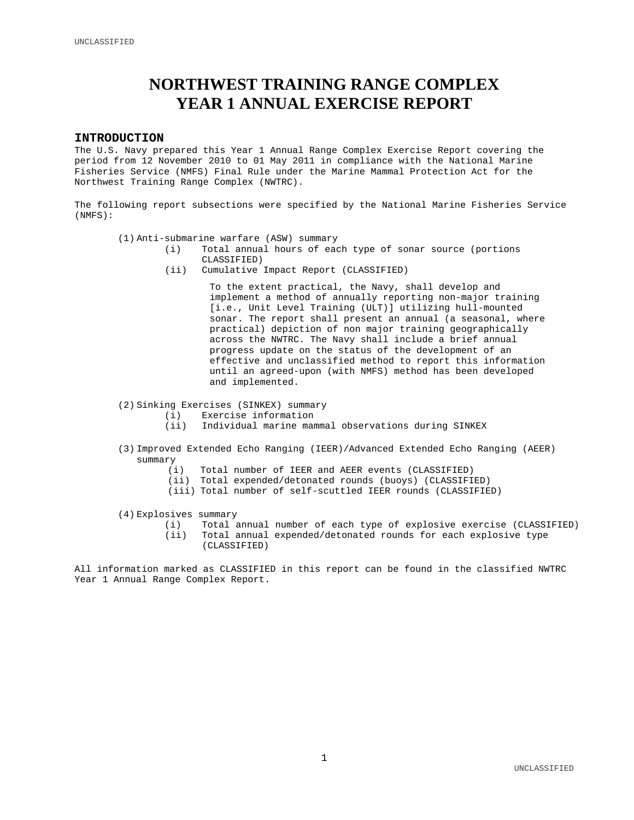### **NORTHWEST TRAINING RANGE COMPLEX YEAR 1 ANNUAL EXERCISE REPORT**

#### **INTRODUCTION**

The U.S. Navy prepared this Year 1 Annual Range Complex Exercise Report covering the period from 12 November 2010 to 01 May 2011 in compliance with the National Marine Fisheries Service (NMFS) Final Rule under the Marine Mammal Protection Act for the Northwest Training Range Complex (NWTRC).

The following report subsections were specified by the National Marine Fisheries Service (NMFS):

- (1) Anti-submarine warfare (ASW) summary
	- (i) Total annual hours of each type of sonar source (portions CLASSIFIED)
	- (ii) Cumulative Impact Report (CLASSIFIED)

To the extent practical, the Navy, shall develop and implement a method of annually reporting non-major training [i.e., Unit Level Training (ULT)] utilizing hull-mounted sonar. The report shall present an annual (a seasonal, where practical) depiction of non major training geographically across the NWTRC. The Navy shall include a brief annual progress update on the status of the development of an effective and unclassified method to report this information until an agreed-upon (with NMFS) method has been developed and implemented.

- (2) Sinking Exercises (SINKEX) summary
	- (i) Exercise information<br>(ii) Individual marine man
		- Individual marine mammal observations during SINKEX
- (3) Improved Extended Echo Ranging (IEER)/Advanced Extended Echo Ranging (AEER) summary  $(i)$ 
	- Total number of IEER and AEER events (CLASSIFIED)
	- (ii) Total expended/detonated rounds (buoys) (CLASSIFIED)
	- (iii) Total number of self-scuttled IEER rounds (CLASSIFIED)
- (4) Explosives summary<br>(i) Total a
	- (i) Total annual number of each type of explosive exercise (CLASSIFIED)<br>(ii) Total annual expended/detonated rounds for each explosive type Total annual expended/detonated rounds for each explosive type (CLASSIFIED)

All information marked as CLASSIFIED in this report can be found in the classified NWTRC Year 1 Annual Range Complex Report.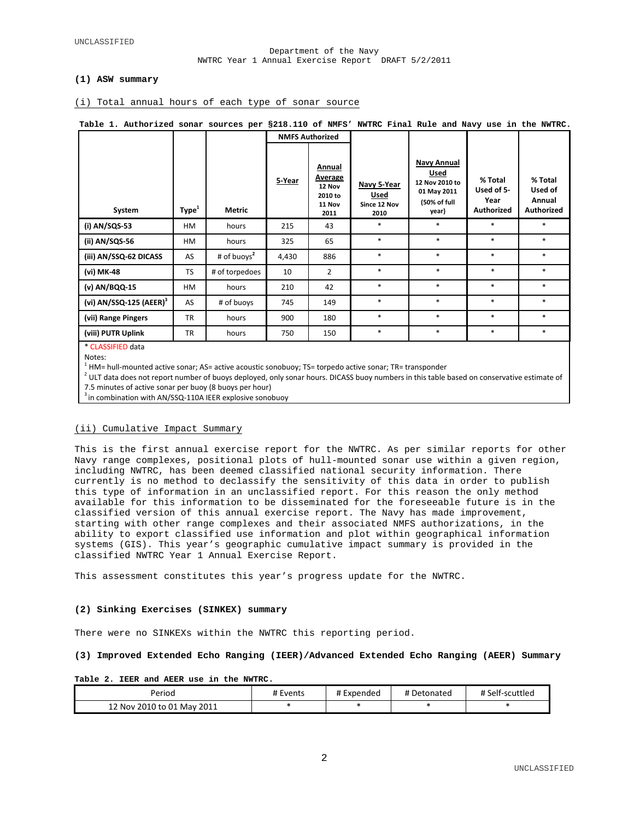#### Department of the Navy NWTRC Year 1 Annual Exercise Report DRAFT 5/2/2011

#### **(1) ASW summary**

#### (i) Total annual hours of each type of sonar source

| Table 1. Authorized sonar sources per §218.110 of NMFS' NWTRC Final Rule and Navy use in the NWTRC. |                   |                |                        |                                                          |                                             |                                                                                      |                                             |                                            |
|-----------------------------------------------------------------------------------------------------|-------------------|----------------|------------------------|----------------------------------------------------------|---------------------------------------------|--------------------------------------------------------------------------------------|---------------------------------------------|--------------------------------------------|
|                                                                                                     |                   |                | <b>NMFS Authorized</b> |                                                          |                                             |                                                                                      |                                             |                                            |
| System                                                                                              | Type <sup>1</sup> | Metric         | 5-Year                 | Annual<br>Average<br>12 Nov<br>2010 to<br>11 Nov<br>2011 | Navy 5-Year<br>Used<br>Since 12 Nov<br>2010 | <b>Navy Annual</b><br>Used<br>12 Nov 2010 to<br>01 May 2011<br>(50% of full<br>year) | % Total<br>Used of 5-<br>Year<br>Authorized | % Total<br>Used of<br>Annual<br>Authorized |
| (i) AN/SQS-53                                                                                       | HM                | hours          | 215                    | 43                                                       | $\ast$                                      | $\ast$                                                                               | $\ast$                                      | $*$                                        |
| (ii) AN/SQS-56                                                                                      | HM                | hours          | 325                    | 65                                                       | $*$                                         | $*$                                                                                  | $\ast$                                      | $\ast$                                     |
| (iii) AN/SSQ-62 DICASS                                                                              | AS                | # of buoys $2$ | 4,430                  | 886                                                      | $\ast$                                      | $\ast$                                                                               | $*$                                         | $*$                                        |
| (vi) MK-48                                                                                          | <b>TS</b>         | # of torpedoes | 10                     | $\overline{2}$                                           | $\ast$                                      | $*$                                                                                  | $\ast$                                      | $\ast$                                     |
| (v) AN/BQQ-15                                                                                       | HM                | hours          | 210                    | 42                                                       | $\ast$                                      | $\ast$                                                                               | $\ast$                                      | $\ast$                                     |
| (vi) $AN/SSQ-125 (AEER)^3$                                                                          | AS                | # of buoys     | 745                    | 149                                                      | $\ast$                                      | $*$                                                                                  | $\ast$                                      | $\ast$                                     |
| (vii) Range Pingers                                                                                 | <b>TR</b>         | hours          | 900                    | 180                                                      | $*$                                         | $*$                                                                                  | $\ast$                                      | $\ast$                                     |
| (viii) PUTR Uplink                                                                                  | <b>TR</b>         | hours          | 750                    | 150                                                      | *                                           | $\ast$                                                                               | *                                           | $\ast$                                     |
| * CLASSIFIED data                                                                                   |                   |                |                        |                                                          |                                             |                                                                                      |                                             |                                            |

Notes:

<sup>1</sup> HM= hull-mounted active sonar; AS= active acoustic sonobuoy; TS= torpedo active sonar; TR= transponder

 $2$  ULT data does not report number of buoys deployed, only sonar hours. DICASS buoy numbers in this table based on conservative estimate of

7.5 minutes of active sonar per buoy (8 buoys per hour)

 $3$  in combination with AN/SSQ-110A IEER explosive sonobuoy

#### (ii) Cumulative Impact Summary

This is the first annual exercise report for the NWTRC. As per similar reports for other Navy range complexes, positional plots of hull-mounted sonar use within a given region, including NWTRC, has been deemed classified national security information. There currently is no method to declassify the sensitivity of this data in order to publish this type of information in an unclassified report. For this reason the only method available for this information to be disseminated for the foreseeable future is in the classified version of this annual exercise report. The Navy has made improvement, starting with other range complexes and their associated NMFS authorizations, in the ability to export classified use information and plot within geographical information systems (GIS). This year's geographic cumulative impact summary is provided in the classified NWTRC Year 1 Annual Exercise Report.

This assessment constitutes this year's progress update for the NWTRC.

#### **(2) Sinking Exercises (SINKEX) summary**

There were no SINKEXs within the NWTRC this reporting period.

#### **(3) Improved Extended Echo Ranging (IEER)/Advanced Extended Echo Ranging (AEER) Summary**

#### **Table 2. IEER and AEER use in the NWTRC**.

| Period                     | # Events | Expended | # Detonated | # Self-scuttled |
|----------------------------|----------|----------|-------------|-----------------|
| 12 Nov 2010 to 01 May 2011 |          |          |             |                 |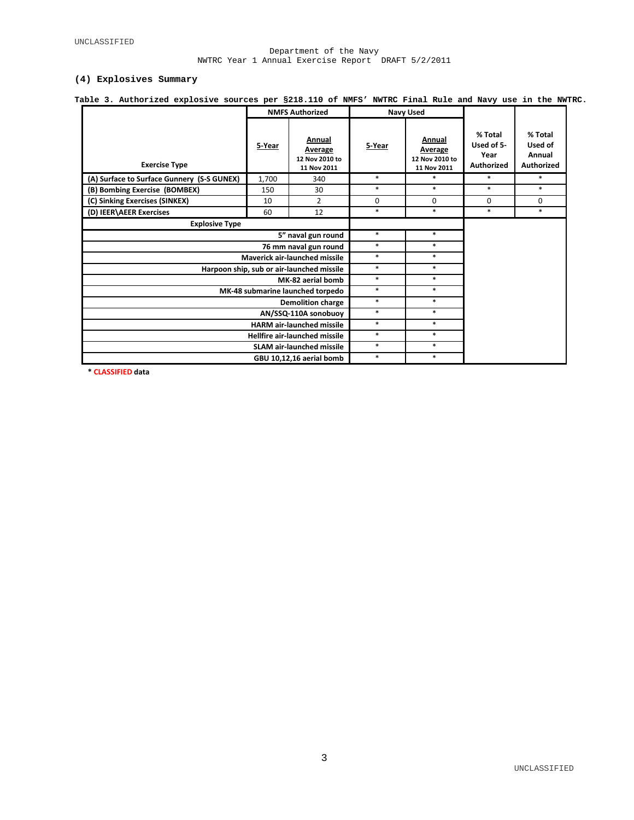#### Department of the Navy NWTRC Year 1 Annual Exercise Report DRAFT 5/2/2011

#### **(4) Explosives Summary**

| Table 3. Authorized explosive sources per §218.110 of NMFS' NWTRC Final Rule and Navy use in the NWTRC. |                        |                                                    |        |                                                    |                                             |                                                   |
|---------------------------------------------------------------------------------------------------------|------------------------|----------------------------------------------------|--------|----------------------------------------------------|---------------------------------------------|---------------------------------------------------|
|                                                                                                         | <b>NMFS Authorized</b> |                                                    |        | <b>Navy Used</b>                                   |                                             |                                                   |
| <b>Exercise Type</b>                                                                                    | 5-Year                 | Annual<br>Average<br>12 Nov 2010 to<br>11 Nov 2011 | 5-Year | Annual<br>Average<br>12 Nov 2010 to<br>11 Nov 2011 | % Total<br>Used of 5-<br>Year<br>Authorized | % Total<br>Used of<br>Annual<br><b>Authorized</b> |
| (A) Surface to Surface Gunnery (S-S GUNEX)                                                              | 1,700                  | 340                                                | $\ast$ | $*$                                                | $\ast$                                      | $*$                                               |
| (B) Bombing Exercise (BOMBEX)                                                                           | 150                    | 30                                                 | $\ast$ | $\ast$                                             | $\ast$                                      | *                                                 |
| (C) Sinking Exercises (SINKEX)                                                                          | 10                     | $\overline{2}$                                     | 0      | 0                                                  | 0                                           | $\mathbf 0$                                       |
| (D) IEER\AEER Exercises                                                                                 | 60                     | 12                                                 | $\ast$ | $\ast$                                             | $\ast$                                      | $*$                                               |
| <b>Explosive Type</b>                                                                                   |                        |                                                    |        |                                                    |                                             |                                                   |
|                                                                                                         | *                      | $\ast$                                             |        |                                                    |                                             |                                                   |
|                                                                                                         | $\ast$                 | $\ast$                                             |        |                                                    |                                             |                                                   |
| Maverick air-launched missile                                                                           | $\ast$                 | $*$                                                |        |                                                    |                                             |                                                   |
| Harpoon ship, sub or air-launched missile                                                               | $\ast$                 | $\ast$                                             |        |                                                    |                                             |                                                   |
|                                                                                                         |                        | MK-82 aerial bomb                                  | $\ast$ | $\ast$                                             |                                             |                                                   |
| MK-48 submarine launched torpedo                                                                        | $\ast$                 | $*$                                                |        |                                                    |                                             |                                                   |
|                                                                                                         | $\ast$                 | $\ast$                                             |        |                                                    |                                             |                                                   |
|                                                                                                         | $\ast$                 | $*$                                                |        |                                                    |                                             |                                                   |
|                                                                                                         | $\ast$                 | $*$                                                |        |                                                    |                                             |                                                   |
|                                                                                                         | $\ast$                 | $*$                                                |        |                                                    |                                             |                                                   |
|                                                                                                         | $\ast$                 | $*$                                                |        |                                                    |                                             |                                                   |
|                                                                                                         | $\ast$                 | $*$                                                |        |                                                    |                                             |                                                   |

**\* CLASSIFIED data**